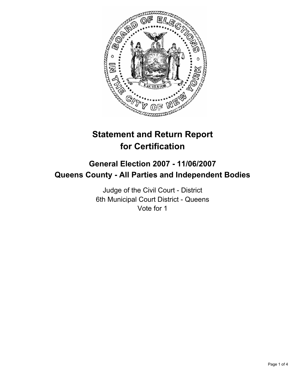

# **Statement and Return Report for Certification**

# **General Election 2007 - 11/06/2007 Queens County - All Parties and Independent Bodies**

Judge of the Civil Court - District 6th Municipal Court District - Queens Vote for 1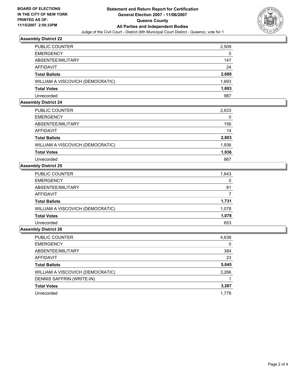

#### **Assembly District 22**

| PUBLIC COUNTER                   | 2,509 |
|----------------------------------|-------|
| <b>EMERGENCY</b>                 | 0     |
| ABSENTEE/MILITARY                | 147   |
| AFFIDAVIT                        | 24    |
| <b>Total Ballots</b>             | 2,680 |
| WILLIAM A VISCOVICH (DEMOCRATIC) | 1,693 |
| <b>Total Votes</b>               | 1,693 |
| Unrecorded                       | 987   |

#### **Assembly District 24**

| <b>PUBLIC COUNTER</b>            | 2,633 |  |
|----------------------------------|-------|--|
| <b>EMERGENCY</b>                 | 0     |  |
| ABSENTEE/MILITARY                | 156   |  |
| AFFIDAVIT                        | 14    |  |
| <b>Total Ballots</b>             | 2,803 |  |
| WILLIAM A VISCOVICH (DEMOCRATIC) | 1,936 |  |
| <b>Total Votes</b>               | 1,936 |  |
| Unrecorded                       | 867   |  |

### **Assembly District 25**

| PUBLIC COUNTER                   | 1,643 |
|----------------------------------|-------|
| <b>EMERGENCY</b>                 | 0     |
| ABSENTEE/MILITARY                | 81    |
| AFFIDAVIT                        |       |
| <b>Total Ballots</b>             | 1,731 |
| WILLIAM A VISCOVICH (DEMOCRATIC) | 1,078 |
| <b>Total Votes</b>               | 1,078 |
| Unrecorded                       | 653   |

## **Assembly District 26**

| <b>PUBLIC COUNTER</b>            | 4,638 |
|----------------------------------|-------|
| <b>EMERGENCY</b>                 | 0     |
| ABSENTEE/MILITARY                | 384   |
| AFFIDAVIT                        | 23    |
| <b>Total Ballots</b>             | 5,045 |
| WILLIAM A VISCOVICH (DEMOCRATIC) | 3,266 |
| DENNIS SAFFRIN (WRITE-IN)        |       |
| <b>Total Votes</b>               | 3,267 |
| Unrecorded                       | 1,778 |
|                                  |       |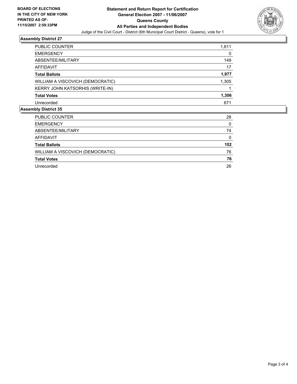

# **Assembly District 27**

| 1,811 |
|-------|
| 0     |
| 149   |
| 17    |
| 1,977 |
| 1,305 |
|       |
| 1,306 |
| 671   |
|       |

### **Assembly District 35**

| PUBLIC COUNTER                   | 28  |
|----------------------------------|-----|
| <b>EMERGENCY</b>                 | 0   |
| ABSENTEE/MILITARY                | 74  |
| AFFIDAVIT                        | 0   |
| <b>Total Ballots</b>             | 102 |
| WILLIAM A VISCOVICH (DEMOCRATIC) | 76  |
|                                  |     |
| <b>Total Votes</b>               | 76  |